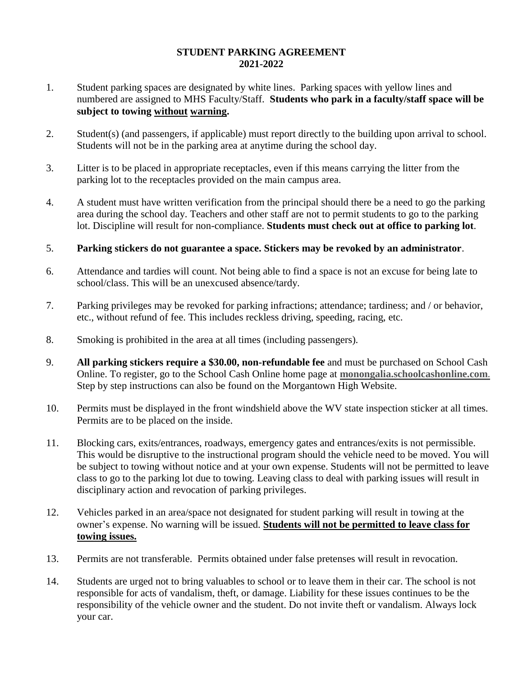## **STUDENT PARKING AGREEMENT 2021-2022**

- 1. Student parking spaces are designated by white lines. Parking spaces with yellow lines and numbered are assigned to MHS Faculty/Staff. **Students who park in a faculty/staff space will be subject to towing without warning.**
- 2. Student(s) (and passengers, if applicable) must report directly to the building upon arrival to school. Students will not be in the parking area at anytime during the school day.
- 3. Litter is to be placed in appropriate receptacles, even if this means carrying the litter from the parking lot to the receptacles provided on the main campus area.
- 4. A student must have written verification from the principal should there be a need to go the parking area during the school day. Teachers and other staff are not to permit students to go to the parking lot. Discipline will result for non-compliance. **Students must check out at office to parking lot**.

## 5. **Parking stickers do not guarantee a space. Stickers may be revoked by an administrator**.

- 6. Attendance and tardies will count. Not being able to find a space is not an excuse for being late to school/class. This will be an unexcused absence/tardy.
- 7. Parking privileges may be revoked for parking infractions; attendance; tardiness; and / or behavior, etc., without refund of fee. This includes reckless driving, speeding, racing, etc.
- 8. Smoking is prohibited in the area at all times (including passengers).
- 9. **All parking stickers require a \$30.00, non-refundable fee** and must be purchased on School Cash Online. To register, go to the School Cash Online home page at **monongalia.schoolcashonline.com.** Step by step instructions can also be found on the Morgantown High Website.
- 10. Permits must be displayed in the front windshield above the WV state inspection sticker at all times. Permits are to be placed on the inside.
- 11. Blocking cars, exits/entrances, roadways, emergency gates and entrances/exits is not permissible. This would be disruptive to the instructional program should the vehicle need to be moved. You will be subject to towing without notice and at your own expense. Students will not be permitted to leave class to go to the parking lot due to towing. Leaving class to deal with parking issues will result in disciplinary action and revocation of parking privileges.
- 12. Vehicles parked in an area/space not designated for student parking will result in towing at the owner's expense. No warning will be issued. **Students will not be permitted to leave class for towing issues.**
- 13. Permits are not transferable. Permits obtained under false pretenses will result in revocation.
- 14. Students are urged not to bring valuables to school or to leave them in their car. The school is not responsible for acts of vandalism, theft, or damage. Liability for these issues continues to be the responsibility of the vehicle owner and the student. Do not invite theft or vandalism. Always lock your car.